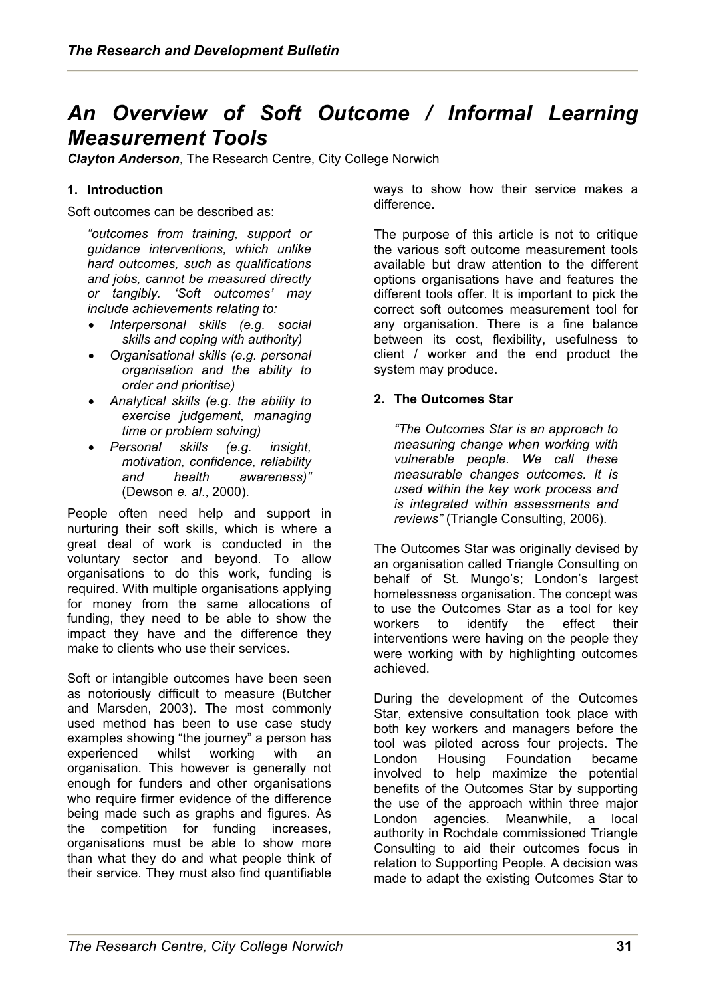# *An Overview of Soft Outcome / Informal Learning Measurement Tools*

*Clayton Anderson*, The Research Centre, City College Norwich

# **1. Introduction**

Soft outcomes can be described as:

*"outcomes from training, support or guidance interventions, which unlike hard outcomes, such as qualifications and jobs, cannot be measured directly or tangibly. 'Soft outcomes' may include achievements relating to:* 

- *Interpersonal skills (e.g. social skills and coping with authority)*
- *Organisational skills (e.g. personal organisation and the ability to order and prioritise)*
- *Analytical skills (e.g. the ability to exercise judgement, managing time or problem solving)*
- *Personal skills (e.g. insight, motivation, confidence, reliability and health awareness)"* (Dewson *e. al*., 2000).

People often need help and support in nurturing their soft skills, which is where a great deal of work is conducted in the voluntary sector and beyond. To allow organisations to do this work, funding is required. With multiple organisations applying for money from the same allocations of funding, they need to be able to show the impact they have and the difference they make to clients who use their services.

Soft or intangible outcomes have been seen as notoriously difficult to measure (Butcher and Marsden, 2003). The most commonly used method has been to use case study examples showing "the journey" a person has experienced whilst working with an organisation. This however is generally not enough for funders and other organisations who require firmer evidence of the difference being made such as graphs and figures. As the competition for funding increases, organisations must be able to show more than what they do and what people think of their service. They must also find quantifiable

ways to show how their service makes a difference.

The purpose of this article is not to critique the various soft outcome measurement tools available but draw attention to the different options organisations have and features the different tools offer. It is important to pick the correct soft outcomes measurement tool for any organisation. There is a fine balance between its cost, flexibility, usefulness to client / worker and the end product the system may produce.

## **2. The Outcomes Star**

*"The Outcomes Star is an approach to measuring change when working with vulnerable people. We call these measurable changes outcomes. It is used within the key work process and is integrated within assessments and reviews"* (Triangle Consulting, 2006).

The Outcomes Star was originally devised by an organisation called Triangle Consulting on behalf of St. Mungo's; London's largest homelessness organisation. The concept was to use the Outcomes Star as a tool for key workers to identify the effect their interventions were having on the people they were working with by highlighting outcomes achieved.

During the development of the Outcomes Star, extensive consultation took place with both key workers and managers before the tool was piloted across four projects. The London Housing Foundation became involved to help maximize the potential benefits of the Outcomes Star by supporting the use of the approach within three major London agencies. Meanwhile, a local authority in Rochdale commissioned Triangle Consulting to aid their outcomes focus in relation to Supporting People. A decision was made to adapt the existing Outcomes Star to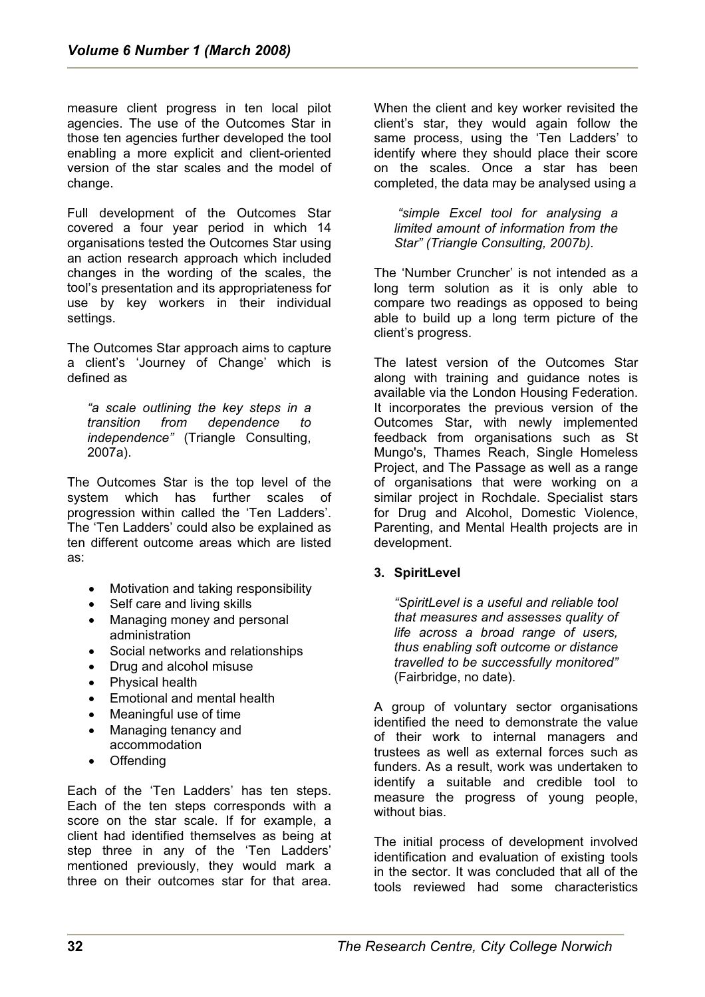measure client progress in ten local pilot agencies. The use of the Outcomes Star in those ten agencies further developed the tool enabling a more explicit and client-oriented version of the star scales and the model of concurphent scales. Once a star h change.

Full development of the Outcomes Star covered a four year period in which 14 organisations tested the Outcomes Star using an action research approach which included changes in the wording of the scales, the tool's presentation and its appropriateness for use by key workers in their individual settings.

The Outcomes Star approach aims to capture a client's 'Journey of Change' which is defined a s

*transi de in pendence"* (Triangle Consulting, *"a scale outlining the key steps in a tion from dependence to*  2007a).

The Outcomes Star is the top level of the system which has further scales of progression within called the 'Ten Ladders'. The 'Ten Ladders' could also be explained as ten different outcome areas which are listed as:

- Motivation and taking responsibility
- Self care and living skills
- Managing money and personal administration
- Social networks and relationships
- $\bullet$ Drug and alcohol misuse
- Physical health
- Emotional and mental health
- Meaningful use of time
- Managing tenancy and accommodation
- Offending

Each of the 'Ten Ladders' has ten steps. Each of the ten steps corresponds with a score on the star scale. If for example, a client had identified themselves as being at step three in any of the 'Ten Ladders' mentioned previously, they would mark a three on their outcomes star for that area.

When the client and key worker revisited the client's star, they would again follow the same process, using the 'Ten Ladders' to identify where they should place their score on the scales. Once a star has been completed, the data may be analysed using a

*Excel tool for analysing a "simple limited amount of information from the Star" (Triangle Consulting, 2007b).* 

The 'Number Cruncher' is not intended as a long term solution as it is only able to compare two readings as opposed to being able to build up a long term picture of the client's progress.

along with training and guidance notes is available via the London Housing Federation. Outcomes Star, with newly implemented feedback from organisations such as St Mu ngo's, Thames Reach, Single Homeless Pro ject, and The Passage as well as a range of organisations that were working on a similar project in Rochdale. Specialist stars for Drug and Alcohol, Domestic Violence, Parenting, and Mental Health projects are in The latest version of the Outcomes Star It incorporates the previous version of the development.

# **3. SpiritLevel**

(Fairbridge, no date). *"SpiritLevel is a useful and reliable tool that measures and assesses quality of life across a broad range of users, thus enabling soft outcome or distance travelled to be successfully monitored"* 

A group of voluntary sector organisations identified the need to demonstrate the value of their work to internal managers and trustees as well as external forces such as funders. As a result, work was undertaken to identify a suitable and credible tool to measure the progress of young people, without bias.

The initial process of development involved identification and evaluation of existing tools in the sector. It was concluded that all of the tools reviewed had some characteristics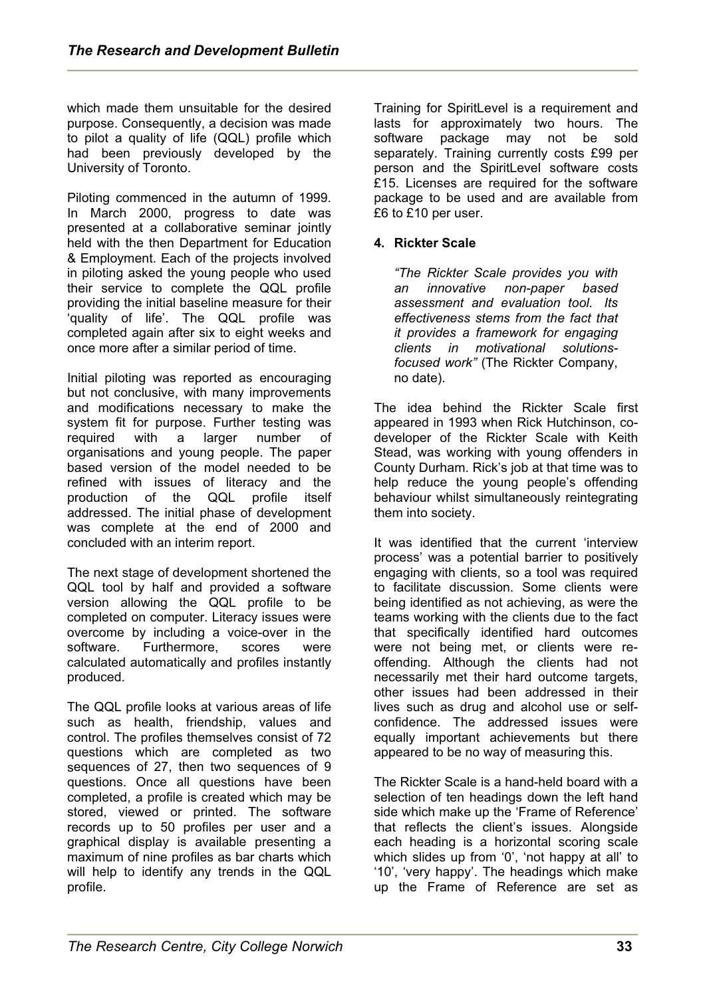which made them unsuitable for the desired purpose. Consequently, a decision was made to pilot a quality of life (QQL) profile which had been previously developed by the University of Toronto.

Piloting commenced in the autumn of 1999. 'quality of life'. The QQL profile was ompleted again after six to eight weeks and c In March 2000, progress to date was presented at a collaborative seminar jointly held with the then Department for Education & Employment. Each of the projects involved in piloting asked the young people who used their service to complete the QQL profile providing the initial baseline measure for their once more after a similar period of time.

Initial piloting was reported as encouraging but not conclusive, with many improvements and modifications necessary to make the sys tem fit for purpose. Further testing was required with a larger number of organisations and young people. The paper based version of the model needed to be refined with issues of literacy and the production of the QQL profile itself addressed. The initial phase of development was complete at the end of 2000 and concluded with an interim report.

The next stage of development shortened the QQL tool by half and provided a software version allowing the QQL profile to be completed on computer. Literacy issues were overcome by including a voice-over in the software. Furthermore, scores were calculated automatically and profiles instantly pro duced.

The QQL profile looks at various areas of life such as health, friendship, values and control. The profiles themselves consist of 72 questions which are completed as two sequences of 27, then two sequences of 9 questions. Once all questions have been completed, a profile is created which may be stored, viewed or printed. The software records up to 50 profiles per user and a graphical display is available presenting a maximum of nine profiles as bar charts which will help to identify any trends in the QQL profile.

package to be used and are available from £6 to £10 per user. Training for SpiritLevel is a requirement and lasts for approximately two hours. The software package may not be sold separately. Training currently costs £99 per person and the SpiritLevel software costs £15. Licenses are required for the software

# **4. Rickter Scale**

*it provides a framework for engaging clients in motivational solutions-"The Rickter Scale provides you with an innovative non-paper based assessment and evaluation tool. Its effectiveness stems from the fact that focused work"* (The Rickter Company, no date).

The idea behind the Rickter Scale first appeared in 1993 when Rick Hutchinson, codeveloper of the Rickter Scale with Keith Stead, was working with young offenders in County Durham. Rick's job at that time was to help reduce the young people's offending behaviour whilst simultaneously reintegrating them into society.

It was identified that the current 'interview rocess' was a potential barrier to positively p engaging with clients, so a tool was required to facilitate discussion. Some clients were being identified as not achieving, as were the teams working with the clients due to the fact that specifically identified hard outcomes were not being met, or clients were reoffending. Although the clients had not necessarily met their hard outcome targets, other issues had been addressed in their lives such as drug and alcohol use or selfconfidence. The addressed issues were equally important achievements but there appeared to be no way of measuring this.

side which make up the 'Frame of Reference' that reflects the client's issues. Alongside The Rickter Scale is a hand-held board with a selection of ten headings down the left hand each heading is a horizontal scoring scale which slides up from '0', 'not happy at all' to '10', 'very happy'. The headings which make up the Frame of Reference are set as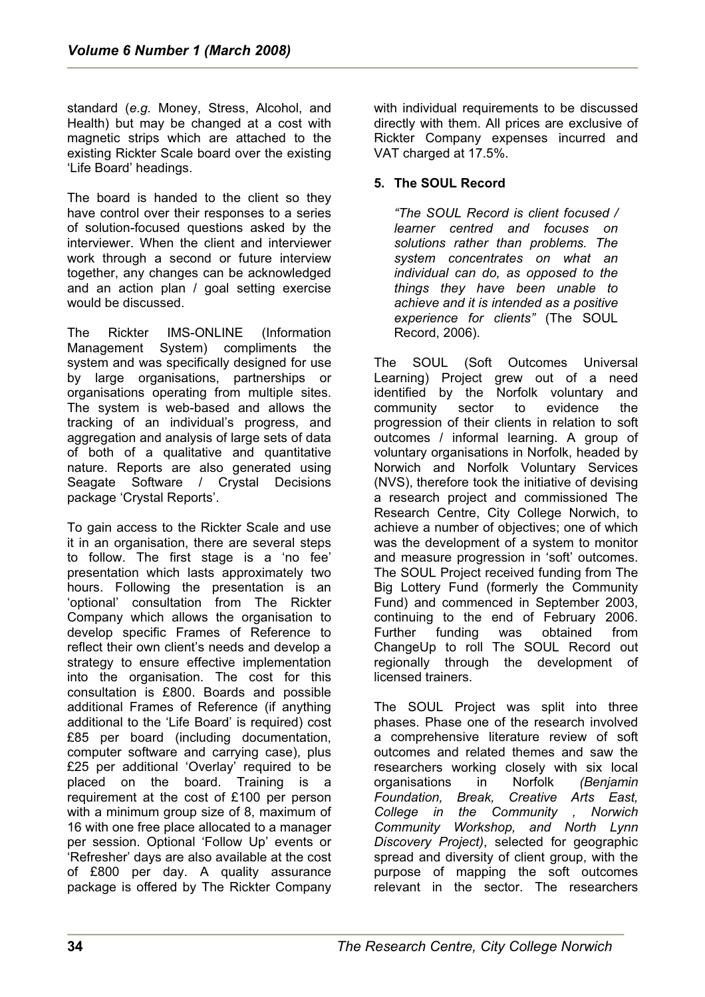standard (*e.g.* Money, Stress, Alcohol, and Health) but may be changed at a cost with magnetic strips which are attached to the existing Rickter Scale board over the existing 'Life Board' headings.

The board is handed to the client so they have control over their responses to a series of solution-focused questions asked by the interviewer. When the client and interviewer work through a second or future interview together, any changes can be acknowledged and an action plan / goal setting exercise would be discussed.

The Rickter IMS-ONLINE (Information Management System) compliments the system and was specifically designed for use by large organisations, partnerships or organisations operating from multiple sites. The system is web-based and allows the tracking of an individual's progress, and aggregation and analysis of large sets of data of both of a qualitative and quantitative nature. Reports are also generated using Seagate Software / Crystal Decisions package 'Crystal Reports'.

it in an organisation, there are several steps to follow. The first stage is a 'no fee' into the organisation. The cost for this consultation is £800. Boards and possible package is offered by The Rickter Company To gain access to the Rickter Scale and use presentation which lasts approximately two hours. Following the presentation is an 'optional' consultation from The Rickter Company which allows the organisation to develop specific Frames of Reference to reflect their own client's needs and develop a strategy to ensure effective implementation additional Frames of Reference (if anything additional to the 'Life Board' is required) cost £85 per board (including documentation, computer software and carrying case), plus £25 per additional 'Overlay' required to be placed on the board. Training is a requirement at the cost of £100 per person with a minimum group size of 8, maximum of 16 with one free place allocated to a manager per session. Optional 'Follow Up' events or 'Refresher' days are also available at the cost of £800 per day. A quality assurance

with individual requirements to be discussed directly with them. All prices are exclusive of Rickter Company expenses incurred and VAT charged at 17.5%.

## **5. The SOUL Record**

*rd is client focused / "The SOUL Reco learner centred and focuses on than problems. The solutions rather system concentrates on what an individual can do, as opposed to the things they have been unable to achieve and it is intended as a positive experience for clients"* (The SOUL Record, 2006).

The SOUL (Soft Outcomes Universal Learning) Project grew out of a need identified by the Norfolk voluntary and Research Centre, City College Norwich, to achieve a number of objectives; one of which community sector to evidence the progression of their clients in relation to soft outcomes / informal learning. A group of voluntary organisations in Norfolk, headed by Norwich and Norfolk Voluntary Services (NVS), therefore took the initiative of devising a research project and commissioned The was the development of a system to monitor and measure progression in 'soft' outcomes. The SOUL Project received funding from The Big Lottery Fund (formerly the Community Fund) and commenced in September 2003, continuing to the end of February 2006. Further funding was obtained from ChangeUp to roll The SOUL Record out regionally through the development of licensed trainers.

outcomes and related themes and saw the researchers working closely with six local The SOUL Project was split into three phases. Phase one of the research involved a comprehensive literature review of soft organisations in Norfolk *(Benjamin Foundation, Break, Creative Arts East, College in the Community , Norwich Community Workshop, and North Lynn Discovery Project)*, selected for geographic spread and diversity of client group, with the purpose of mapping the soft outcomes relevant in the sector. The researchers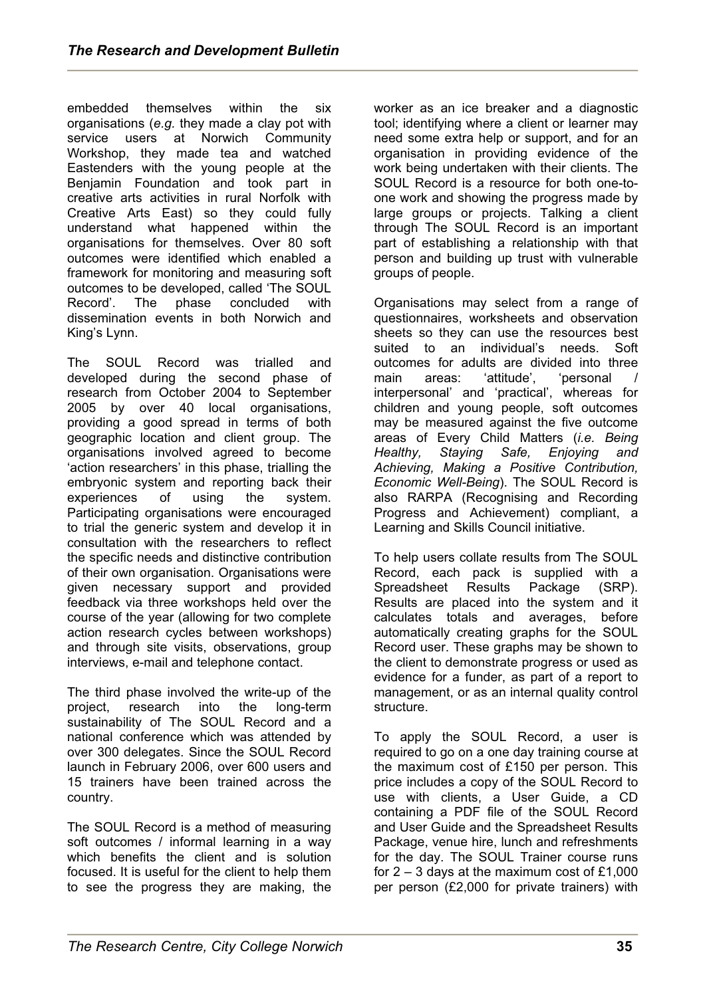embedded themselves within the six organisations (*e.g.* they made a clay pot with service users at Norwich Community Workshop, they made tea and watched Eastenders with the young people at the Benjamin Foundation and took part in phase concluded with dissemination events in both Norwich and creative arts activities in rural Norfolk with Creative Arts East) so they could fully understand what happened within the organisations for themselves. Over 80 soft outcomes were identified which enabled a framework for monitoring and measuring soft outcomes to be developed, called 'The SOUL Record'. The King's Lynn.

the system. Participating organisations were encouraged The SOUL Record was trialled and developed during the second phase of research from October 2004 to September 2005 by over 40 local organisations, providing a good spread in terms of both geographic location and client group. The organisations involved agreed to become 'action researchers' in this phase, trialling the embryonic system and reporting back their experiences of using to trial the generic system and develop it in consultation with the researchers to reflect the specific needs and distinctive contribution of their own organisation. Organisations were given necessary support and provided feedback via three workshops held over the course of the year (allowing for two complete action research cycles between workshops) and through site visits, observations, group interviews, e-mail and telephone contact.

The third phase involved the write-up of the project, research into the long-term sustainability of The SOUL Record and a national conference which was attended by over 300 delegates. Since the SOUL Record launch in February 2006, over 600 users and 15 trainers have been trained across the country.

The SOUL Record is a method of measuring soft outcomes / informal learning in a way which benefits the client and is solution focused. It is useful for the client to help them to see the progress they are making, the

organisation in providing evidence of the work being undertaken with their clients. The SOUL Record is a resource for both one-toone work and showing the progress made by large groups or projects. Talking a client through The SOUL Record is an important part of establishing a relationship with that per son and building up trust with vulnerable gro ups of people. worker as an ice breaker and a diagnostic tool; identifying where a client or learner may need some extra help or support, and for an

Organisations may select from a range of questionnaires, worksheets and observation sheets so they can use the resources best suited to an individual's needs. Soft outcomes for adults are divided into three main areas: 'attitude', 'personal / interpersonal' and 'practical', whereas for children and young people, soft outcomes may be measured against the five outcome areas of Every Child Matters (*i.e. Being Healthy, Staying Safe, Enjoying and Achieving, Making a Positive Contribution, Economic Well-Being*). The SOUL Record is also RARPA (Recognising and Recording Progress and Achievement) compliant, a Learning and Skills Council initiative.

evidence for a funder, as part of a report to management, or as an internal quality control To help users collate results from The SOUL Record, each pack is supplied with a Spreadsheet Results Package (SRP). Results are placed into the system and it calculates totals and averages, before automatically creating graphs for the SOUL Record user. These graphs may be shown to the client to demonstrate progress or used as structure.

To apply the SOUL Record, a user is required to go on a one day training course at the maximum cost of £150 per person. This price includes a copy of the SOUL Record to use with clients, a User Guide, a CD containing a PDF file of the SOUL Record and User Guide and the Spreadsheet Results Package, venue hire, lunch and refreshments for the day. The SOUL Trainer course runs for  $2 - 3$  days at the maximum cost of £1,000 per person (£2,000 for private trainers) with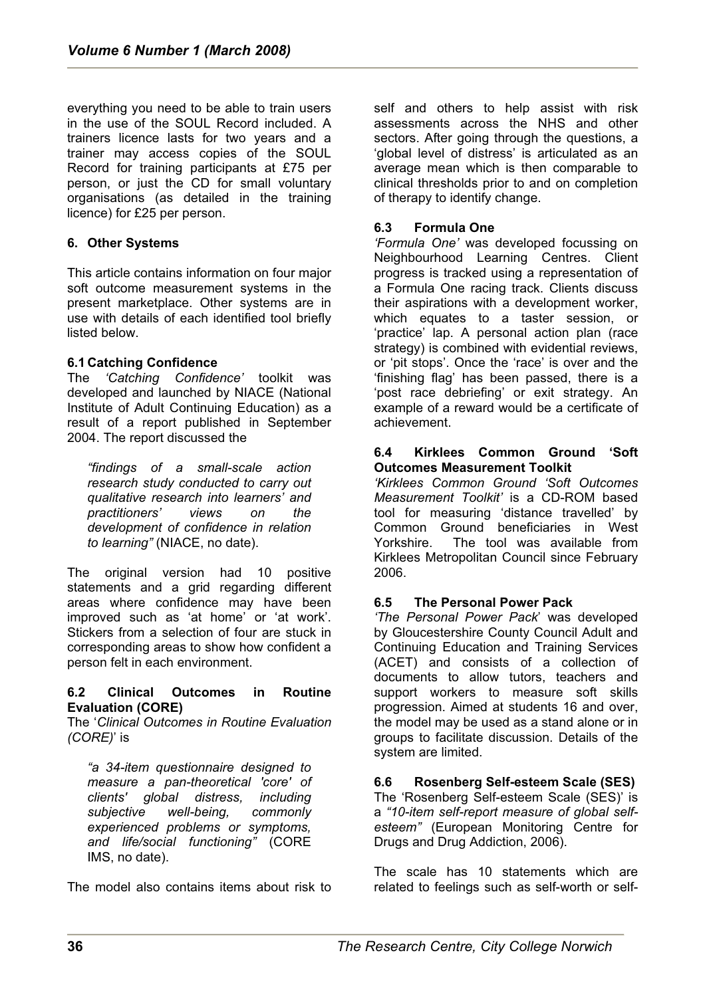everything you need to be able to train users in the use of the SOUL Record included. A trainers licence lasts for two years and a trainer may access copies of the SOUL Record for training participants at £75 per person, or just the CD for small voluntary organisations (as detailed in the training licence) for £25 per person.

# **6. Other Systems**

This article contains information on four major soft outcome measurement systems in the present marketplace. Other systems are in use with details of each identified tool briefly listed below.

#### **6.1 Catching Confidence**

The *'Catching Confidence'* toolkit was developed and launched by NIACE (National Institute of Adult Continuing Education) as a result of a report published in September 2004. The report discussed the

*"findings of a small-scale action research study conducted to carry out qualitative research into learners' and practitioners' views on the development of confidence in relation to learning"* (NIACE, no date).

The original version had 10 positive statements and a grid regarding different areas where confidence may have been improved such as 'at home' or 'at work'. Stickers from a selection of four are stuck in corresponding areas to show how confident a person felt in each environment.

## **6.2 Clinical Outcomes in Routine Evaluation (CORE)**

The '*Clinical Outcomes in Routine Evaluation (CORE)*' is

*"a 34-item questionnaire designed to measure a pan-theoretical 'core' of clients' global distress, including subjective well-being, commonly experienced problems or symptoms, and life/social functioning"* (CORE IMS, no date).

The model also contains items about risk to

self and others to help assist with risk assessments across the NHS and other sectors. After going through the questions, a 'global level of distress' is articulated as an average mean which is then comparable to clinical thresholds prior to and on completion of therapy to identify change.

### **6.3 Formula One**

progress is tracked using a representation of Formula One racing track. Clients discuss a *'Formula One'* was developed focussing on Neighbourhood Learning Centres. Client their aspirations with a development worker, which equates to a taster session, or 'practice' lap. A personal action plan (race strategy) is combined with evidential reviews, or 'pit stops'. Once the 'race' is over and the 'finishing flag' has been passed, there is a 'post race debriefing' or exit strategy. An example of a reward would be a certificate of achievement.

#### **6.4 Kirklees Common Ground 'Soft Outcomes Measurement Toolkit**

Common Ground beneficiaries in West The tool was available from *'Kirklees Common Ground 'Soft Outcomes Measurement Toolkit'* is a CD-ROM based tool for measuring 'distance travelled' by Yorkshire Kirklees Metropolitan Council since February 2006.

#### **6.5 The Personal Power Pack**

progression. Aimed at students 16 and over, the model may be used as a stand alone or in *'The Personal Power Pack*' was developed by Gloucestershire County Council Adult and Continuing Education and Training Services (ACET) and consists of a collection of documents to allow tutors, teachers and support workers to measure soft skills groups to facilitate discussion. Details of the system are limited.

# **6.6 Rosenberg Self-esteem Scale (SES)**

The 'Rosenberg Self-esteem Scale (SES)' is a *"10-item self-report measure of global selfesteem"* (European Monitoring Centre for Drugs and Drug Addiction, 2006).

The scale has 10 statements which are related to feelings such as self-worth or self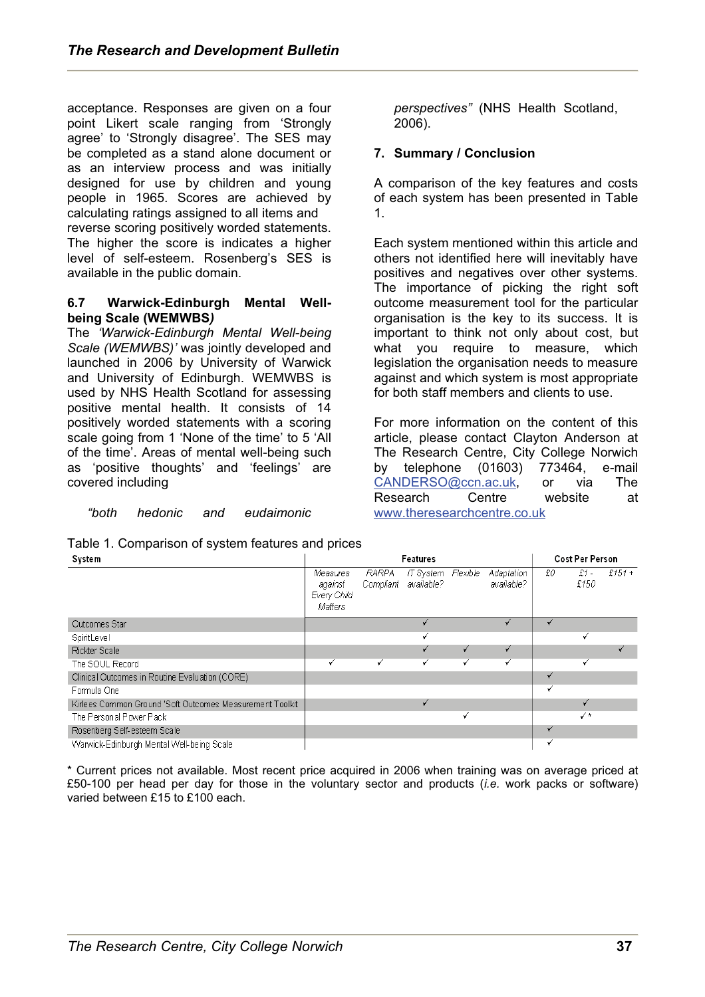acceptance. Responses are given on a four point Likert scale ranging from 'Strongly agree' to 'Strongly disagree'. The SES may be completed as a stand alone document or as an interview process and was initially designed for use by children and young people in 1965. Scores are achieved by calculating ratings assigned to all items and reverse scoring positively worded statements. The higher the score is indicates a higher level of self-esteem. Rosenberg's SES is available in the public domain.

#### **6.7 Warwick-Edinburgh Mental Wellbeing Scale (WEMWBS***)*

*-Edinburgh Mental Well-being*  The *'Warwick* Scale (WEMWBS)' was jointly developed and launched in 2006 by University of Warwick scale going from 1 'None of the time' to 5 'All of the time'. Areas of mental well-being such as 'positive thoughts' and 'feelings' are cov ered including and University of Edinburgh. WEMWBS is used by NHS Health Scotland for assessing positive mental health. It consists of 14 positively worded statements with a scoring

*"both hedonic and eudaimonic* 

|               | Table 1. Comparison of system features and prices |  |  |
|---------------|---------------------------------------------------|--|--|
| $\sim$ $\sim$ |                                                   |  |  |

*perspectives"* (NHS Health Scotland, 2006).

## **7. Summary / Conclusion**

of each system has been presented in Table . 1 A comparison of the key features and costs

Each system mentioned within this article and others not identified here will inevitably have positives and negatives over other systems. The importance of picking the right soft outcome measurement tool for the particular organisation is the key to its success. It is important to think not only about cost, but what you require to measure, which legislation the organisation needs to measure against and which system is most appropriate for both staff members and clients to use.

For more information on the content of this article, please contact Clayton Anderson at 773464. e-mail The Research Centre, City College Norwich by telephone  $(01603)$ CANDERSO@ccn.ac.uk, or via The Research Centre website at www.theresearchcentre.co.uk

| System                                                   | Features                                      |                    |                                  |   | <b>Cost Per Person</b>   |    |              |          |
|----------------------------------------------------------|-----------------------------------------------|--------------------|----------------------------------|---|--------------------------|----|--------------|----------|
|                                                          | Measures<br>aqainst<br>Every Child<br>Matters | RARPA<br>Compliant | IT System Flexible<br>available? |   | Adaptation<br>available? | £0 | £1 -<br>£150 | $£151 +$ |
| Outcomes Star                                            |                                               |                    |                                  |   |                          |    |              |          |
| SpiritLevel                                              |                                               |                    | ✓                                |   |                          |    |              |          |
| Rickter Scale                                            |                                               |                    |                                  |   | ✔                        |    |              |          |
| The SOUL Record                                          | ✓                                             | ✔                  | ✓                                | ✔ | ✔                        |    | v            |          |
| Clinical Outcomes in Routine Evaluation (CORE)           |                                               |                    |                                  |   |                          |    |              |          |
| Formula One                                              |                                               |                    |                                  |   |                          | v  |              |          |
| Kirlees Common Ground 'Soft Outcomes Measurement Toolkit |                                               |                    |                                  |   |                          |    |              |          |
| The Personal Power Pack                                  |                                               |                    |                                  | v |                          |    | ✓∗           |          |
| Rosenberg Self-esteem Scale                              |                                               |                    |                                  |   |                          |    |              |          |
| Warwick-Edinburgh Mental Well-being Scale                |                                               |                    |                                  |   |                          |    |              |          |

\* Current prices not available. Most recent price acquired in 2006 when training was on average priced at £50-100 per head per day for those in the voluntary sector and products (*i.e.* work packs or software) var ied between £15 to £100 each.